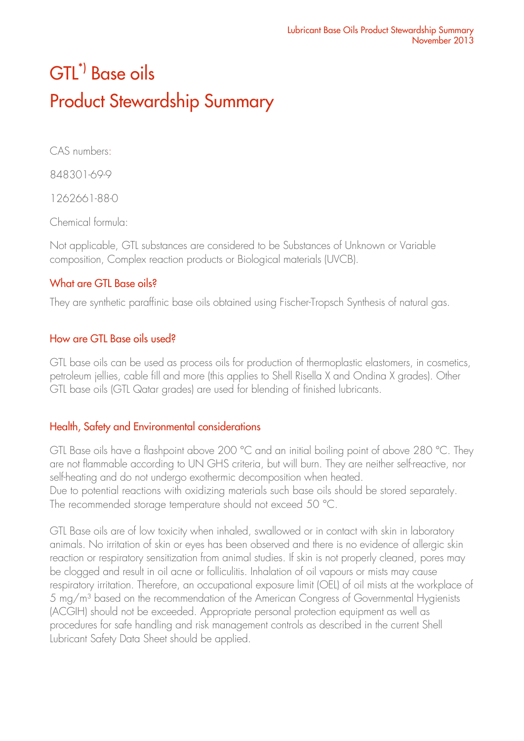# GTL\*) Base oils Product Stewardship Summary

CAS numbers:

848301-69-9

1262661-88-0

Chemical formula:

Not applicable, GTL substances are considered to be Substances of Unknown or Variable composition, Complex reaction products or Biological materials (UVCB).

## What are GTL Base oils?

They are synthetic paraffinic base oils obtained using Fischer-Tropsch Synthesis of natural gas.

## How are GTL Base oils used?

GTL base oils can be used as process oils for production of thermoplastic elastomers, in cosmetics, petroleum jellies, cable fill and more (this applies to Shell Risella X and Ondina X grades). Other GTL base oils (GTL Qatar grades) are used for blending of finished lubricants.

## Health, Safety and Environmental considerations

GTL Base oils have a flashpoint above 200 °C and an initial boiling point of above 280 °C. They are not flammable according to UN GHS criteria, but will burn. They are neither self-reactive, nor self-heating and do not undergo exothermic decomposition when heated. Due to potential reactions with oxidizing materials such base oils should be stored separately. The recommended storage temperature should not exceed 50 °C.

GTL Base oils are of low toxicity when inhaled, swallowed or in contact with skin in laboratory animals. No irritation of skin or eyes has been observed and there is no evidence of allergic skin reaction or respiratory sensitization from animal studies. If skin is not properly cleaned, pores may be clogged and result in oil acne or folliculitis. Inhalation of oil vapours or mists may cause respiratory irritation. Therefore, an occupational exposure limit (OEL) of oil mists at the workplace of 5 mg/m<sup>3</sup> based on the recommendation of the American Congress of Governmental Hygienists (ACGIH) should not be exceeded. Appropriate personal protection equipment as well as procedures for safe handling and risk management controls as described in the current Shell Lubricant Safety Data Sheet should be applied.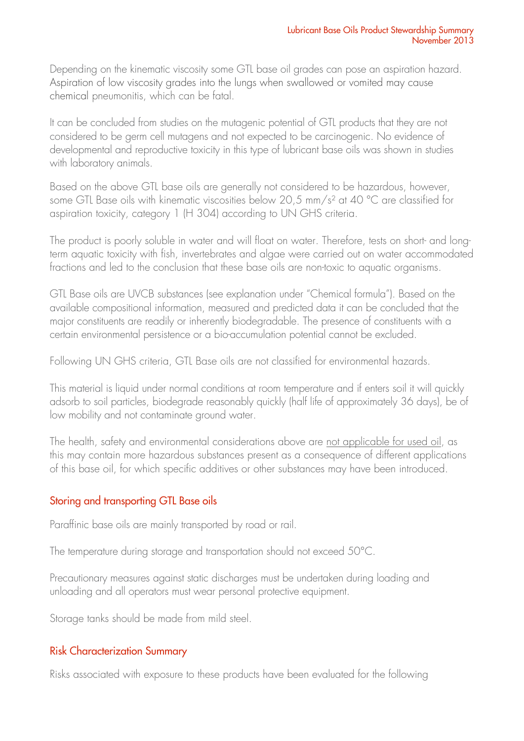Depending on the kinematic viscosity some GTL base oil grades can pose an aspiration hazard. Aspiration of low viscosity grades into the lungs when swallowed or vomited may cause chemical pneumonitis, which can be fatal.

It can be concluded from studies on the mutagenic potential of GTL products that they are not considered to be germ cell mutagens and not expected to be carcinogenic. No evidence of developmental and reproductive toxicity in this type of lubricant base oils was shown in studies with laboratory animals.

Based on the above GTL base oils are generally not considered to be hazardous, however, some GTL Base oils with kinematic viscosities below 20,5 mm/s<sup>2</sup> at 40 °C are classified for aspiration toxicity, category 1 (H 304) according to UN GHS criteria.

The product is poorly soluble in water and will float on water. Therefore, tests on short- and longterm aquatic toxicity with fish, invertebrates and algae were carried out on water accommodated fractions and led to the conclusion that these base oils are non-toxic to aquatic organisms.

GTL Base oils are UVCB substances (see explanation under "Chemical formula"). Based on the available compositional information, measured and predicted data it can be concluded that the major constituents are readily or inherently biodegradable. The presence of constituents with a certain environmental persistence or a bio-accumulation potential cannot be excluded.

Following UN GHS criteria, GTL Base oils are not classified for environmental hazards.

This material is liquid under normal conditions at room temperature and if enters soil it will quickly adsorb to soil particles, biodegrade reasonably quickly (half life of approximately 36 days), be of low mobility and not contaminate ground water.

The health, safety and environmental considerations above are not applicable for used oil, as this may contain more hazardous substances present as a consequence of different applications of this base oil, for which specific additives or other substances may have been introduced.

#### Storing and transporting GTL Base oils

Paraffinic base oils are mainly transported by road or rail.

The temperature during storage and transportation should not exceed 50°C.

Precautionary measures against static discharges must be undertaken during loading and unloading and all operators must wear personal protective equipment.

Storage tanks should be made from mild steel.

#### Risk Characterization Summary

Risks associated with exposure to these products have been evaluated for the following